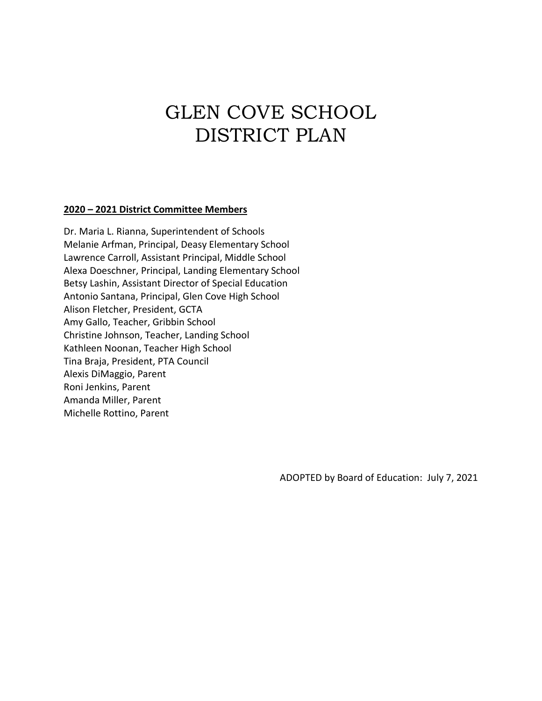# GLEN COVE SCHOOL DISTRICT PLAN

#### **2020 – 2021 District Committee Members**

Dr. Maria L. Rianna, Superintendent of Schools Melanie Arfman, Principal, Deasy Elementary School Lawrence Carroll, Assistant Principal, Middle School Alexa Doeschner, Principal, Landing Elementary School Betsy Lashin, Assistant Director of Special Education Antonio Santana, Principal, Glen Cove High School Alison Fletcher, President, GCTA Amy Gallo, Teacher, Gribbin School Christine Johnson, Teacher, Landing School Kathleen Noonan, Teacher High School Tina Braja, President, PTA Council Alexis DiMaggio, Parent Roni Jenkins, Parent Amanda Miller, Parent Michelle Rottino, Parent

ADOPTED by Board of Education: July 7, 2021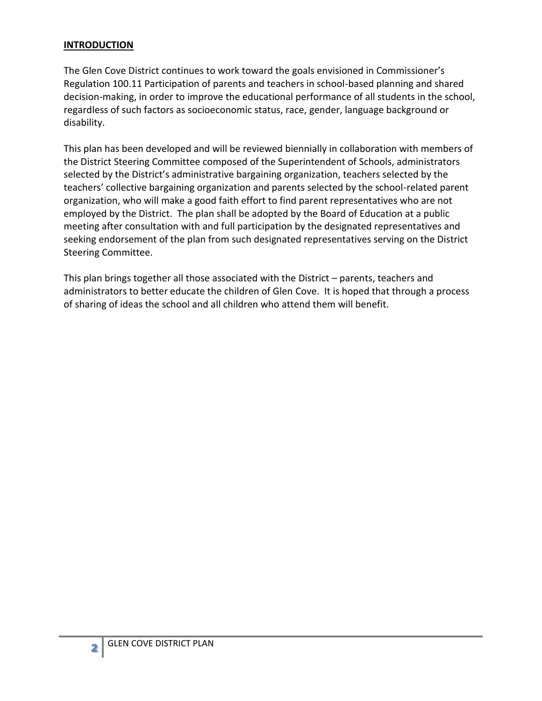#### **INTRODUCTION**

The Glen Cove District continues to work toward the goals envisioned in Commissioner's Regulation 100.11 Participation of parents and teachers in school-based planning and shared decision-making, in order to improve the educational performance of all students in the school, regardless of such factors as socioeconomic status, race, gender, language background or disability.

This plan has been developed and will be reviewed biennially in collaboration with members of the District Steering Committee composed of the Superintendent of Schools, administrators selected by the District's administrative bargaining organization, teachers selected by the teachers' collective bargaining organization and parents selected by the school-related parent organization, who will make a good faith effort to find parent representatives who are not employed by the District. The plan shall be adopted by the Board of Education at a public meeting after consultation with and full participation by the designated representatives and seeking endorsement of the plan from such designated representatives serving on the District Steering Committee.

This plan brings together all those associated with the District – parents, teachers and administrators to better educate the children of Glen Cove. It is hoped that through a process of sharing of ideas the school and all children who attend them will benefit.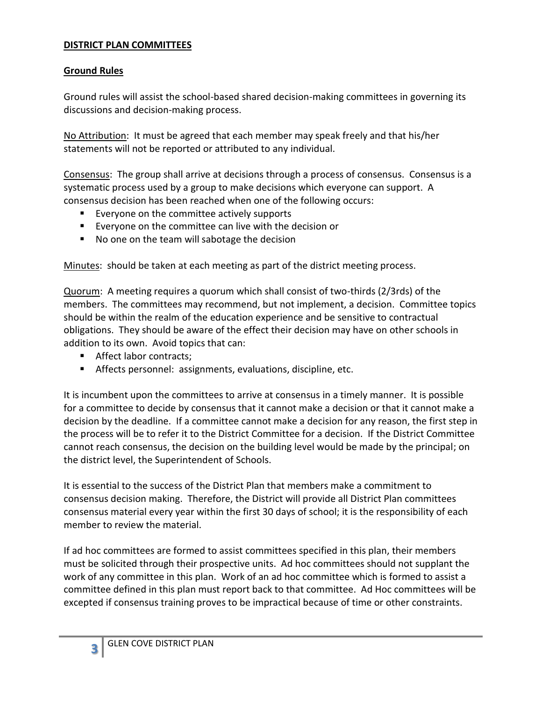#### **DISTRICT PLAN COMMITTEES**

#### **Ground Rules**

Ground rules will assist the school-based shared decision-making committees in governing its discussions and decision-making process.

No Attribution: It must be agreed that each member may speak freely and that his/her statements will not be reported or attributed to any individual.

Consensus: The group shall arrive at decisions through a process of consensus. Consensus is a systematic process used by a group to make decisions which everyone can support. A consensus decision has been reached when one of the following occurs:

- **Exeryone on the committee actively supports**
- Everyone on the committee can live with the decision or
- No one on the team will sabotage the decision

Minutes: should be taken at each meeting as part of the district meeting process.

Quorum: A meeting requires a quorum which shall consist of two-thirds (2/3rds) of the members. The committees may recommend, but not implement, a decision. Committee topics should be within the realm of the education experience and be sensitive to contractual obligations. They should be aware of the effect their decision may have on other schools in addition to its own. Avoid topics that can:

- Affect labor contracts;
- Affects personnel: assignments, evaluations, discipline, etc.

It is incumbent upon the committees to arrive at consensus in a timely manner. It is possible for a committee to decide by consensus that it cannot make a decision or that it cannot make a decision by the deadline. If a committee cannot make a decision for any reason, the first step in the process will be to refer it to the District Committee for a decision. If the District Committee cannot reach consensus, the decision on the building level would be made by the principal; on the district level, the Superintendent of Schools.

It is essential to the success of the District Plan that members make a commitment to consensus decision making. Therefore, the District will provide all District Plan committees consensus material every year within the first 30 days of school; it is the responsibility of each member to review the material.

If ad hoc committees are formed to assist committees specified in this plan, their members must be solicited through their prospective units. Ad hoc committees should not supplant the work of any committee in this plan. Work of an ad hoc committee which is formed to assist a committee defined in this plan must report back to that committee. Ad Hoc committees will be excepted if consensus training proves to be impractical because of time or other constraints.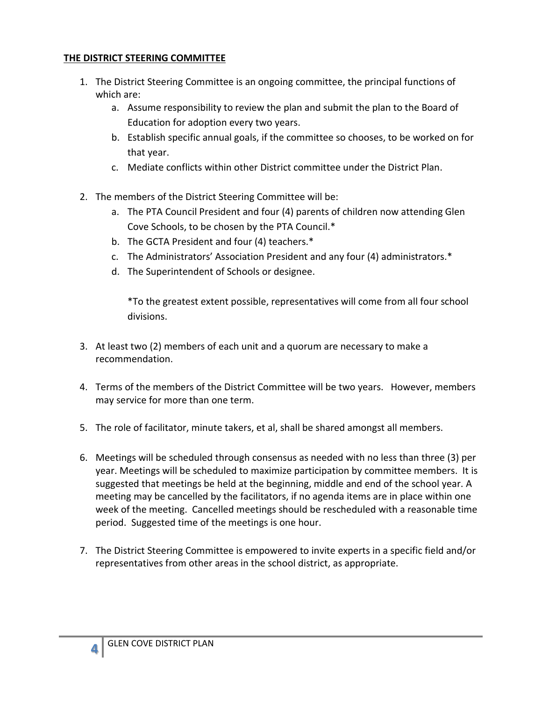#### **THE DISTRICT STEERING COMMITTEE**

- 1. The District Steering Committee is an ongoing committee, the principal functions of which are:
	- a. Assume responsibility to review the plan and submit the plan to the Board of Education for adoption every two years.
	- b. Establish specific annual goals, if the committee so chooses, to be worked on for that year.
	- c. Mediate conflicts within other District committee under the District Plan.
- 2. The members of the District Steering Committee will be:
	- a. The PTA Council President and four (4) parents of children now attending Glen Cove Schools, to be chosen by the PTA Council.\*
	- b. The GCTA President and four (4) teachers.\*
	- c. The Administrators' Association President and any four (4) administrators.\*
	- d. The Superintendent of Schools or designee.

\*To the greatest extent possible, representatives will come from all four school divisions.

- 3. At least two (2) members of each unit and a quorum are necessary to make a recommendation.
- 4. Terms of the members of the District Committee will be two years. However, members may service for more than one term.
- 5. The role of facilitator, minute takers, et al, shall be shared amongst all members.
- 6. Meetings will be scheduled through consensus as needed with no less than three (3) per year. Meetings will be scheduled to maximize participation by committee members. It is suggested that meetings be held at the beginning, middle and end of the school year. A meeting may be cancelled by the facilitators, if no agenda items are in place within one week of the meeting. Cancelled meetings should be rescheduled with a reasonable time period. Suggested time of the meetings is one hour.
- 7. The District Steering Committee is empowered to invite experts in a specific field and/or representatives from other areas in the school district, as appropriate.

**4**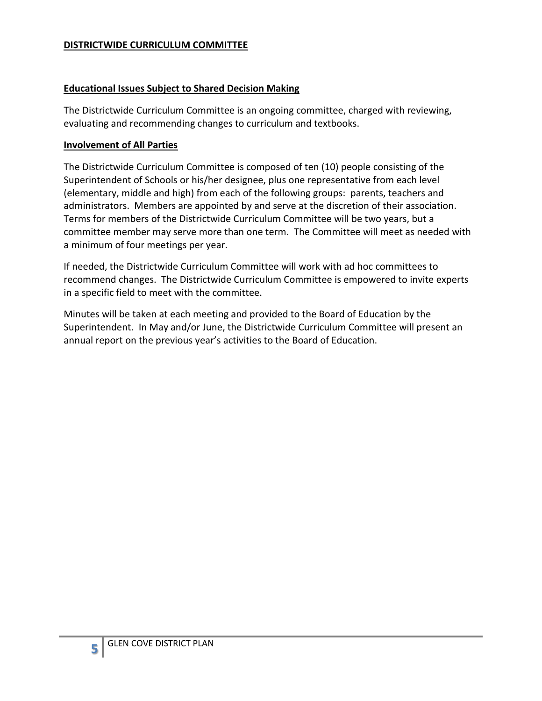#### **DISTRICTWIDE CURRICULUM COMMITTEE**

#### **Educational Issues Subject to Shared Decision Making**

The Districtwide Curriculum Committee is an ongoing committee, charged with reviewing, evaluating and recommending changes to curriculum and textbooks.

#### **Involvement of All Parties**

The Districtwide Curriculum Committee is composed of ten (10) people consisting of the Superintendent of Schools or his/her designee, plus one representative from each level (elementary, middle and high) from each of the following groups: parents, teachers and administrators. Members are appointed by and serve at the discretion of their association. Terms for members of the Districtwide Curriculum Committee will be two years, but a committee member may serve more than one term. The Committee will meet as needed with a minimum of four meetings per year.

If needed, the Districtwide Curriculum Committee will work with ad hoc committees to recommend changes. The Districtwide Curriculum Committee is empowered to invite experts in a specific field to meet with the committee.

Minutes will be taken at each meeting and provided to the Board of Education by the Superintendent. In May and/or June, the Districtwide Curriculum Committee will present an annual report on the previous year's activities to the Board of Education.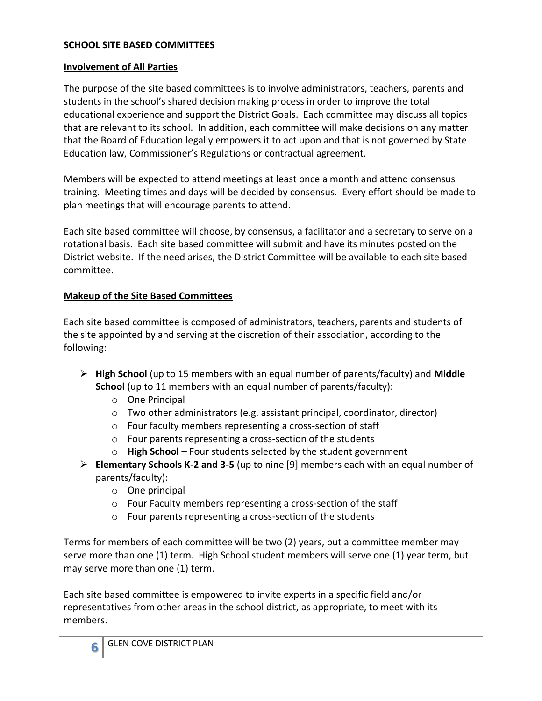#### **SCHOOL SITE BASED COMMITTEES**

#### **Involvement of All Parties**

The purpose of the site based committees is to involve administrators, teachers, parents and students in the school's shared decision making process in order to improve the total educational experience and support the District Goals. Each committee may discuss all topics that are relevant to its school. In addition, each committee will make decisions on any matter that the Board of Education legally empowers it to act upon and that is not governed by State Education law, Commissioner's Regulations or contractual agreement.

Members will be expected to attend meetings at least once a month and attend consensus training. Meeting times and days will be decided by consensus. Every effort should be made to plan meetings that will encourage parents to attend.

Each site based committee will choose, by consensus, a facilitator and a secretary to serve on a rotational basis. Each site based committee will submit and have its minutes posted on the District website. If the need arises, the District Committee will be available to each site based committee.

#### **Makeup of the Site Based Committees**

Each site based committee is composed of administrators, teachers, parents and students of the site appointed by and serving at the discretion of their association, according to the following:

- **High School** (up to 15 members with an equal number of parents/faculty) and **Middle School** (up to 11 members with an equal number of parents/faculty):
	- o One Principal
	- o Two other administrators (e.g. assistant principal, coordinator, director)
	- o Four faculty members representing a cross-section of staff
	- o Four parents representing a cross-section of the students
	- o **High School –** Four students selected by the student government
- **Elementary Schools K-2 and 3-5** (up to nine [9] members each with an equal number of parents/faculty):
	- o One principal
	- o Four Faculty members representing a cross-section of the staff
	- o Four parents representing a cross-section of the students

Terms for members of each committee will be two (2) years, but a committee member may serve more than one (1) term. High School student members will serve one (1) year term, but may serve more than one (1) term.

Each site based committee is empowered to invite experts in a specific field and/or representatives from other areas in the school district, as appropriate, to meet with its members.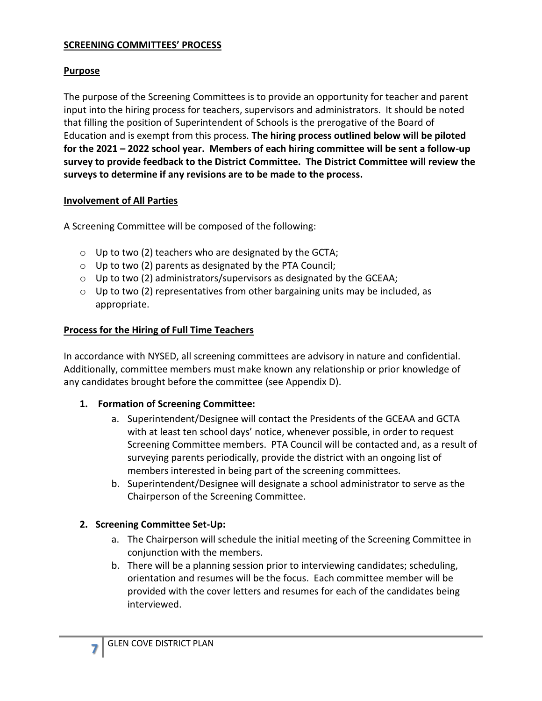#### **SCREENING COMMITTEES' PROCESS**

#### **Purpose**

The purpose of the Screening Committees is to provide an opportunity for teacher and parent input into the hiring process for teachers, supervisors and administrators. It should be noted that filling the position of Superintendent of Schools is the prerogative of the Board of Education and is exempt from this process. **The hiring process outlined below will be piloted for the 2021 – 2022 school year. Members of each hiring committee will be sent a follow-up survey to provide feedback to the District Committee. The District Committee will review the surveys to determine if any revisions are to be made to the process.**

#### **Involvement of All Parties**

A Screening Committee will be composed of the following:

- $\circ$  Up to two (2) teachers who are designated by the GCTA;
- $\circ$  Up to two (2) parents as designated by the PTA Council;
- $\circ$  Up to two (2) administrators/supervisors as designated by the GCEAA;
- o Up to two (2) representatives from other bargaining units may be included, as appropriate.

#### **Process for the Hiring of Full Time Teachers**

In accordance with NYSED, all screening committees are advisory in nature and confidential. Additionally, committee members must make known any relationship or prior knowledge of any candidates brought before the committee (see Appendix D).

#### **1. Formation of Screening Committee:**

- a. Superintendent/Designee will contact the Presidents of the GCEAA and GCTA with at least ten school days' notice, whenever possible, in order to request Screening Committee members. PTA Council will be contacted and, as a result of surveying parents periodically, provide the district with an ongoing list of members interested in being part of the screening committees.
- b. Superintendent/Designee will designate a school administrator to serve as the Chairperson of the Screening Committee.

#### **2. Screening Committee Set-Up:**

- a. The Chairperson will schedule the initial meeting of the Screening Committee in conjunction with the members.
- b. There will be a planning session prior to interviewing candidates; scheduling, orientation and resumes will be the focus. Each committee member will be provided with the cover letters and resumes for each of the candidates being interviewed.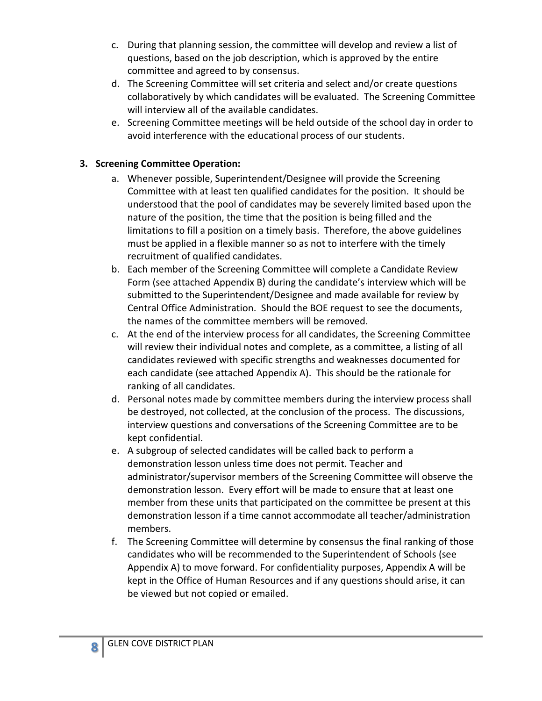- c. During that planning session, the committee will develop and review a list of questions, based on the job description, which is approved by the entire committee and agreed to by consensus.
- d. The Screening Committee will set criteria and select and/or create questions collaboratively by which candidates will be evaluated. The Screening Committee will interview all of the available candidates.
- e. Screening Committee meetings will be held outside of the school day in order to avoid interference with the educational process of our students.

## **3. Screening Committee Operation:**

- a. Whenever possible, Superintendent/Designee will provide the Screening Committee with at least ten qualified candidates for the position. It should be understood that the pool of candidates may be severely limited based upon the nature of the position, the time that the position is being filled and the limitations to fill a position on a timely basis. Therefore, the above guidelines must be applied in a flexible manner so as not to interfere with the timely recruitment of qualified candidates.
- b. Each member of the Screening Committee will complete a Candidate Review Form (see attached Appendix B) during the candidate's interview which will be submitted to the Superintendent/Designee and made available for review by Central Office Administration. Should the BOE request to see the documents, the names of the committee members will be removed.
- c. At the end of the interview process for all candidates, the Screening Committee will review their individual notes and complete, as a committee, a listing of all candidates reviewed with specific strengths and weaknesses documented for each candidate (see attached Appendix A). This should be the rationale for ranking of all candidates.
- d. Personal notes made by committee members during the interview process shall be destroyed, not collected, at the conclusion of the process. The discussions, interview questions and conversations of the Screening Committee are to be kept confidential.
- e. A subgroup of selected candidates will be called back to perform a demonstration lesson unless time does not permit. Teacher and administrator/supervisor members of the Screening Committee will observe the demonstration lesson. Every effort will be made to ensure that at least one member from these units that participated on the committee be present at this demonstration lesson if a time cannot accommodate all teacher/administration members.
- f. The Screening Committee will determine by consensus the final ranking of those candidates who will be recommended to the Superintendent of Schools (see Appendix A) to move forward. For confidentiality purposes, Appendix A will be kept in the Office of Human Resources and if any questions should arise, it can be viewed but not copied or emailed.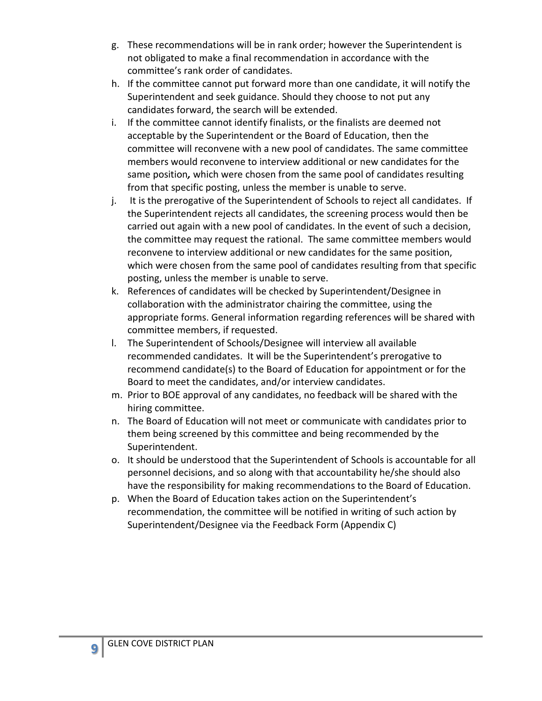- g. These recommendations will be in rank order; however the Superintendent is not obligated to make a final recommendation in accordance with the committee's rank order of candidates.
- h. If the committee cannot put forward more than one candidate, it will notify the Superintendent and seek guidance. Should they choose to not put any candidates forward, the search will be extended.
- i. If the committee cannot identify finalists, or the finalists are deemed not acceptable by the Superintendent or the Board of Education, then the committee will reconvene with a new pool of candidates. The same committee members would reconvene to interview additional or new candidates for the same position*,* which were chosen from the same pool of candidates resulting from that specific posting, unless the member is unable to serve.
- j. It is the prerogative of the Superintendent of Schools to reject all candidates. If the Superintendent rejects all candidates, the screening process would then be carried out again with a new pool of candidates. In the event of such a decision, the committee may request the rational. The same committee members would reconvene to interview additional or new candidates for the same position, which were chosen from the same pool of candidates resulting from that specific posting, unless the member is unable to serve.
- k. References of candidates will be checked by Superintendent/Designee in collaboration with the administrator chairing the committee, using the appropriate forms. General information regarding references will be shared with committee members, if requested.
- l. The Superintendent of Schools/Designee will interview all available recommended candidates. It will be the Superintendent's prerogative to recommend candidate(s) to the Board of Education for appointment or for the Board to meet the candidates, and/or interview candidates.
- m. Prior to BOE approval of any candidates, no feedback will be shared with the hiring committee.
- n. The Board of Education will not meet or communicate with candidates prior to them being screened by this committee and being recommended by the Superintendent.
- o. It should be understood that the Superintendent of Schools is accountable for all personnel decisions, and so along with that accountability he/she should also have the responsibility for making recommendations to the Board of Education.
- p. When the Board of Education takes action on the Superintendent's recommendation, the committee will be notified in writing of such action by Superintendent/Designee via the Feedback Form (Appendix C)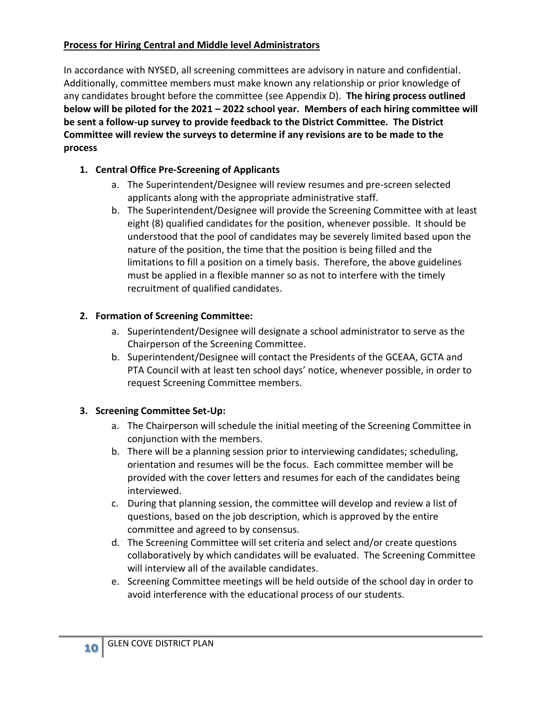#### **Process for Hiring Central and Middle level Administrators**

In accordance with NYSED, all screening committees are advisory in nature and confidential. Additionally, committee members must make known any relationship or prior knowledge of any candidates brought before the committee (see Appendix D). **The hiring process outlined below will be piloted for the 2021 – 2022 school year. Members of each hiring committee will be sent a follow-up survey to provide feedback to the District Committee. The District Committee will review the surveys to determine if any revisions are to be made to the process**

# **1. Central Office Pre-Screening of Applicants**

- a. The Superintendent/Designee will review resumes and pre-screen selected applicants along with the appropriate administrative staff.
- b. The Superintendent/Designee will provide the Screening Committee with at least eight (8) qualified candidates for the position, whenever possible. It should be understood that the pool of candidates may be severely limited based upon the nature of the position, the time that the position is being filled and the limitations to fill a position on a timely basis. Therefore, the above guidelines must be applied in a flexible manner so as not to interfere with the timely recruitment of qualified candidates.

# **2. Formation of Screening Committee:**

- a. Superintendent/Designee will designate a school administrator to serve as the Chairperson of the Screening Committee.
- b. Superintendent/Designee will contact the Presidents of the GCEAA, GCTA and PTA Council with at least ten school days' notice, whenever possible, in order to request Screening Committee members.

# **3. Screening Committee Set-Up:**

- a. The Chairperson will schedule the initial meeting of the Screening Committee in conjunction with the members.
- b. There will be a planning session prior to interviewing candidates; scheduling, orientation and resumes will be the focus. Each committee member will be provided with the cover letters and resumes for each of the candidates being interviewed.
- c. During that planning session, the committee will develop and review a list of questions, based on the job description, which is approved by the entire committee and agreed to by consensus.
- d. The Screening Committee will set criteria and select and/or create questions collaboratively by which candidates will be evaluated. The Screening Committee will interview all of the available candidates.
- e. Screening Committee meetings will be held outside of the school day in order to avoid interference with the educational process of our students.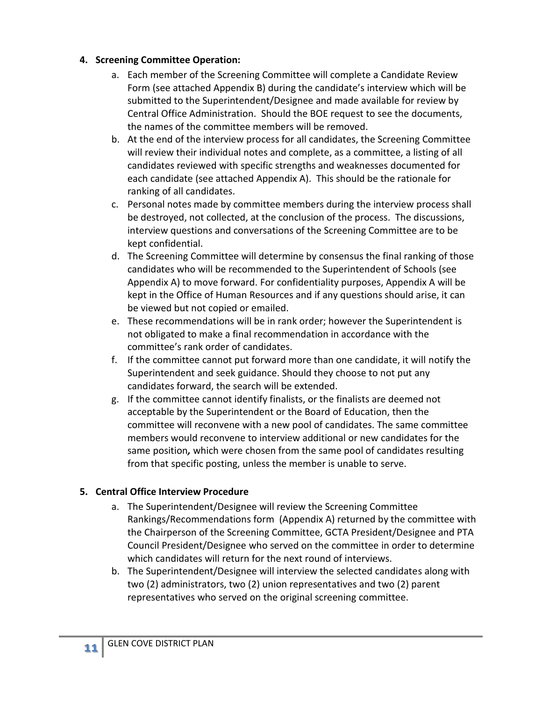#### **4. Screening Committee Operation:**

- a. Each member of the Screening Committee will complete a Candidate Review Form (see attached Appendix B) during the candidate's interview which will be submitted to the Superintendent/Designee and made available for review by Central Office Administration. Should the BOE request to see the documents, the names of the committee members will be removed.
- b. At the end of the interview process for all candidates, the Screening Committee will review their individual notes and complete, as a committee, a listing of all candidates reviewed with specific strengths and weaknesses documented for each candidate (see attached Appendix A). This should be the rationale for ranking of all candidates.
- c. Personal notes made by committee members during the interview process shall be destroyed, not collected, at the conclusion of the process. The discussions, interview questions and conversations of the Screening Committee are to be kept confidential.
- d. The Screening Committee will determine by consensus the final ranking of those candidates who will be recommended to the Superintendent of Schools (see Appendix A) to move forward. For confidentiality purposes, Appendix A will be kept in the Office of Human Resources and if any questions should arise, it can be viewed but not copied or emailed.
- e. These recommendations will be in rank order; however the Superintendent is not obligated to make a final recommendation in accordance with the committee's rank order of candidates.
- f. If the committee cannot put forward more than one candidate, it will notify the Superintendent and seek guidance. Should they choose to not put any candidates forward, the search will be extended.
- g. If the committee cannot identify finalists, or the finalists are deemed not acceptable by the Superintendent or the Board of Education, then the committee will reconvene with a new pool of candidates. The same committee members would reconvene to interview additional or new candidates for the same position*,* which were chosen from the same pool of candidates resulting from that specific posting, unless the member is unable to serve.

# **5. Central Office Interview Procedure**

- a. The Superintendent/Designee will review the Screening Committee Rankings/Recommendations form (Appendix A) returned by the committee with the Chairperson of the Screening Committee, GCTA President/Designee and PTA Council President/Designee who served on the committee in order to determine which candidates will return for the next round of interviews.
- b. The Superintendent/Designee will interview the selected candidates along with two (2) administrators, two (2) union representatives and two (2) parent representatives who served on the original screening committee.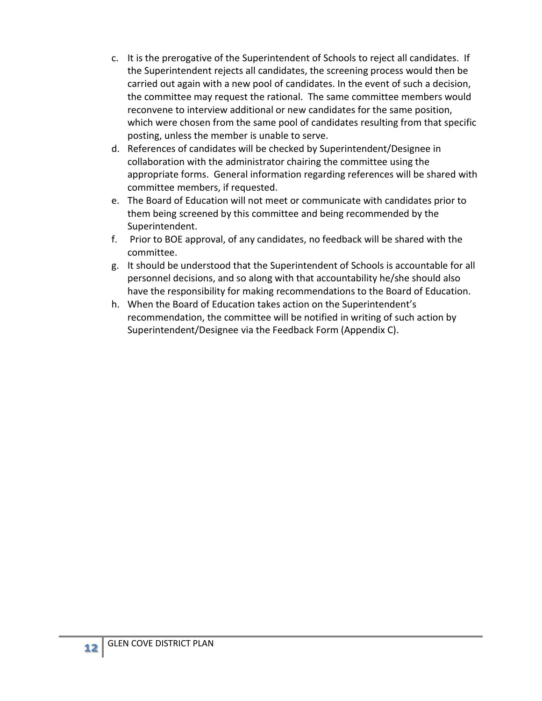- c. It is the prerogative of the Superintendent of Schools to reject all candidates. If the Superintendent rejects all candidates, the screening process would then be carried out again with a new pool of candidates. In the event of such a decision, the committee may request the rational. The same committee members would reconvene to interview additional or new candidates for the same position, which were chosen from the same pool of candidates resulting from that specific posting, unless the member is unable to serve.
- d. References of candidates will be checked by Superintendent/Designee in collaboration with the administrator chairing the committee using the appropriate forms. General information regarding references will be shared with committee members, if requested.
- e. The Board of Education will not meet or communicate with candidates prior to them being screened by this committee and being recommended by the Superintendent.
- f. Prior to BOE approval, of any candidates, no feedback will be shared with the committee.
- g. It should be understood that the Superintendent of Schools is accountable for all personnel decisions, and so along with that accountability he/she should also have the responsibility for making recommendations to the Board of Education.
- h. When the Board of Education takes action on the Superintendent's recommendation, the committee will be notified in writing of such action by Superintendent/Designee via the Feedback Form (Appendix C).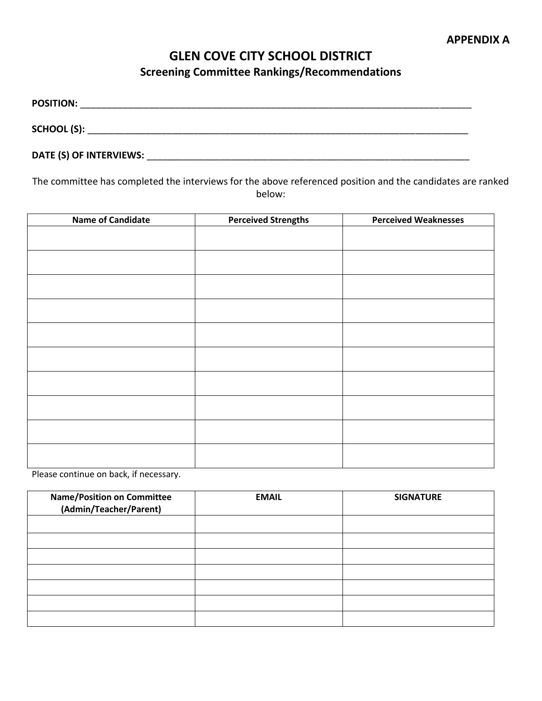# **GLEN COVE CITY SCHOOL DISTRICT Screening Committee Rankings/Recommendations**

**POSITION:** \_\_\_\_\_\_\_\_\_\_\_\_\_\_\_\_\_\_\_\_\_\_\_\_\_\_\_\_\_\_\_\_\_\_\_\_\_\_\_\_\_\_\_\_\_\_\_\_\_\_\_\_\_\_\_\_\_\_\_\_\_\_\_\_\_\_\_\_\_\_\_\_\_\_ **SCHOOL (S):** \_\_\_\_\_\_\_\_\_\_\_\_\_\_\_\_\_\_\_\_\_\_\_\_\_\_\_\_\_\_\_\_\_\_\_\_\_\_\_\_\_\_\_\_\_\_\_\_\_\_\_\_\_\_\_\_\_\_\_\_\_\_\_\_\_\_\_\_\_\_\_\_

**DATE (S) OF INTERVIEWS:** \_\_\_\_\_\_\_\_\_\_\_\_\_\_\_\_\_\_\_\_\_\_\_\_\_\_\_\_\_\_\_\_\_\_\_\_\_\_\_\_\_\_\_\_\_\_\_\_\_\_\_\_\_\_\_\_\_\_\_\_\_

The committee has completed the interviews for the above referenced position and the candidates are ranked below:

| <b>Name of Candidate</b> | <b>Perceived Strengths</b> | <b>Perceived Weaknesses</b> |
|--------------------------|----------------------------|-----------------------------|
|                          |                            |                             |
|                          |                            |                             |
|                          |                            |                             |
|                          |                            |                             |
|                          |                            |                             |
|                          |                            |                             |
|                          |                            |                             |
|                          |                            |                             |
|                          |                            |                             |
|                          |                            |                             |
|                          |                            |                             |
|                          |                            |                             |
|                          |                            |                             |
|                          |                            |                             |
|                          |                            |                             |
|                          |                            |                             |
|                          |                            |                             |

Please continue on back, if necessary.

| <b>Name/Position on Committee</b><br>(Admin/Teacher/Parent) | <b>EMAIL</b> | <b>SIGNATURE</b> |
|-------------------------------------------------------------|--------------|------------------|
|                                                             |              |                  |
|                                                             |              |                  |
|                                                             |              |                  |
|                                                             |              |                  |
|                                                             |              |                  |
|                                                             |              |                  |
|                                                             |              |                  |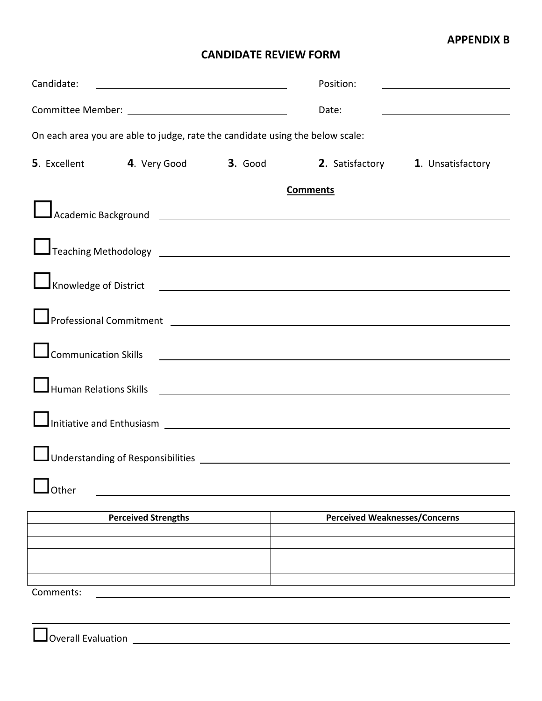## **APPENDIX B**

## **CANDIDATE REVIEW FORM**

| Candidate:                                                                                                      |                                                                     |  |  | Position:                            |  |  |
|-----------------------------------------------------------------------------------------------------------------|---------------------------------------------------------------------|--|--|--------------------------------------|--|--|
|                                                                                                                 |                                                                     |  |  | Date:                                |  |  |
| On each area you are able to judge, rate the candidate using the below scale:                                   |                                                                     |  |  |                                      |  |  |
|                                                                                                                 | 5. Excellent 4. Very Good 3. Good 2. Satisfactory 1. Unsatisfactory |  |  |                                      |  |  |
|                                                                                                                 | <b>Comments</b>                                                     |  |  |                                      |  |  |
|                                                                                                                 |                                                                     |  |  |                                      |  |  |
|                                                                                                                 |                                                                     |  |  |                                      |  |  |
| Knowledge of District <b>Community Community Community</b> Community Community Community Community Community    |                                                                     |  |  |                                      |  |  |
| Professional Commitment 2008 2009 2009 2010 2020 2021 2022 2023 2024 2022 2023 2024 2022 2023 2024 2022 2023 20 |                                                                     |  |  |                                      |  |  |
| <b>Communication Skills</b>                                                                                     |                                                                     |  |  |                                      |  |  |
| Human Relations Skills                                                                                          |                                                                     |  |  |                                      |  |  |
|                                                                                                                 |                                                                     |  |  |                                      |  |  |
|                                                                                                                 |                                                                     |  |  |                                      |  |  |
| Other                                                                                                           |                                                                     |  |  |                                      |  |  |
|                                                                                                                 | <b>Perceived Strengths</b>                                          |  |  | <b>Perceived Weaknesses/Concerns</b> |  |  |
|                                                                                                                 |                                                                     |  |  |                                      |  |  |
|                                                                                                                 |                                                                     |  |  |                                      |  |  |
| Comments:                                                                                                       |                                                                     |  |  |                                      |  |  |
| <b>Overall Evaluation</b>                                                                                       |                                                                     |  |  |                                      |  |  |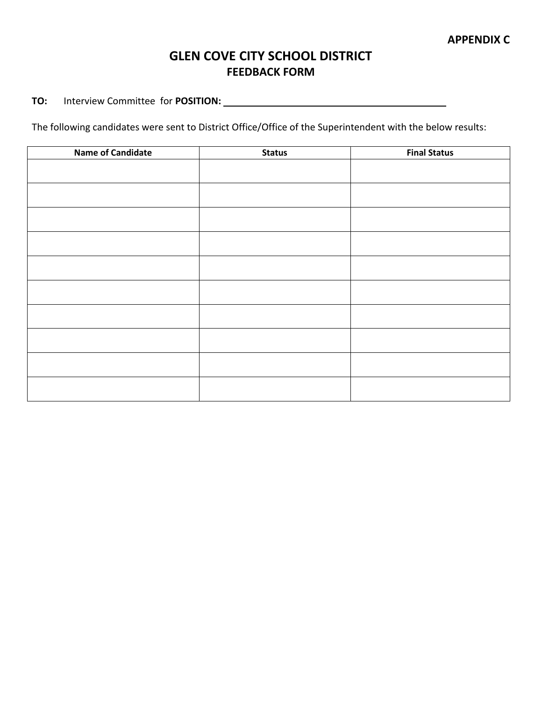# **GLEN COVE CITY SCHOOL DISTRICT FEEDBACK FORM**

**TO:** Interview Committee for **POSITION:**

The following candidates were sent to District Office/Office of the Superintendent with the below results:

| <b>Name of Candidate</b> | <b>Status</b> | <b>Final Status</b> |
|--------------------------|---------------|---------------------|
|                          |               |                     |
|                          |               |                     |
|                          |               |                     |
|                          |               |                     |
|                          |               |                     |
|                          |               |                     |
|                          |               |                     |
|                          |               |                     |
|                          |               |                     |
|                          |               |                     |
|                          |               |                     |
|                          |               |                     |
|                          |               |                     |
|                          |               |                     |
|                          |               |                     |
|                          |               |                     |
|                          |               |                     |
|                          |               |                     |
|                          |               |                     |